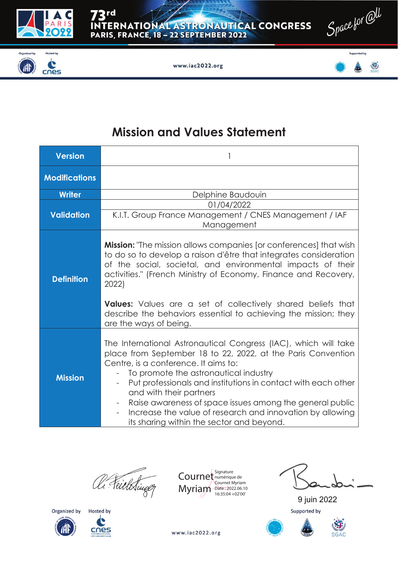



## Space for @ll



## **Mission and Values Statement**

| <b>Version</b>       |                                                                                                                                                                                                                                                                                                                                                                                                                                                                                    |  |  |
|----------------------|------------------------------------------------------------------------------------------------------------------------------------------------------------------------------------------------------------------------------------------------------------------------------------------------------------------------------------------------------------------------------------------------------------------------------------------------------------------------------------|--|--|
| <b>Modifications</b> |                                                                                                                                                                                                                                                                                                                                                                                                                                                                                    |  |  |
| <b>Writer</b>        | Delphine Baudouin                                                                                                                                                                                                                                                                                                                                                                                                                                                                  |  |  |
| <b>Validation</b>    | 01/04/2022<br>K.I.T. Group France Management / CNES Management / IAF<br>Management                                                                                                                                                                                                                                                                                                                                                                                                 |  |  |
| <b>Definition</b>    | <b>Mission:</b> "The mission allows companies for conferences] that wish<br>to do so to develop a raison d'être that integrates consideration<br>of the social, societal, and environmental impacts of their<br>activities." (French Ministry of Economy, Finance and Recovery,<br>2022)<br><b>Values:</b> Values are a set of collectively shared beliefs that<br>describe the behaviors essential to achieving the mission; they<br>are the ways of being.                       |  |  |
| <b>Mission</b>       | The International Astronautical Congress (IAC), which will take<br>place from September 18 to 22, 2022, at the Paris Convention<br>Centre, is a conference. It aims to:<br>To promote the astronautical industry<br>Put professionals and institutions in contact with each other<br>and with their partners<br>Raise awareness of space issues among the general public<br>Increase the value of research and innovation by allowing<br>its sharing within the sector and beyond. |  |  |





9 juin 2022 Supported by





www.iac2022.org